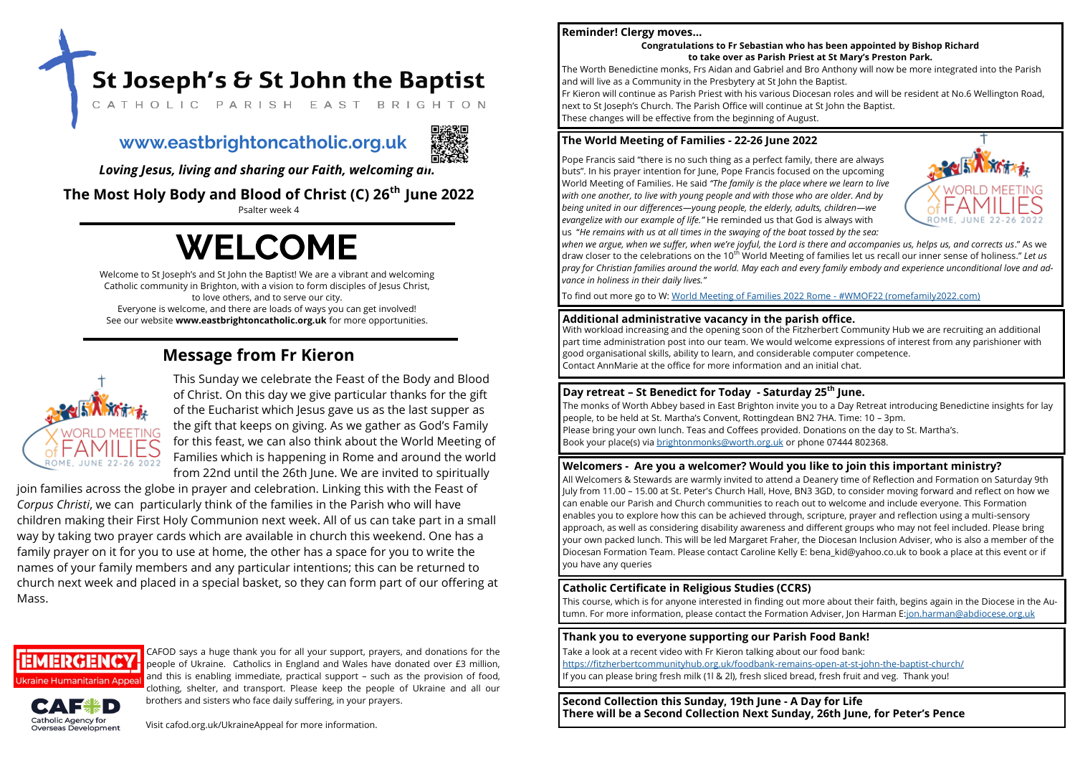Welcome to St Joseph's and St John the Baptist! We are a vibrant and welcoming Catholic community in Brighton, with a vision to form disciples of Jesus Christ, to love others, and to serve our city. Everyone is welcome, and there are loads of ways you can get involved! See our website **www.eastbrightoncatholic.org.uk** for more opportunities.

**The Most Holy Body and Blood of Christ (C) 26th June 2022**

Psalter week 4

# **WELCOME**

*Loving Jesus, living and sharing our Faith, welcoming all.*

## **Message from Fr Kieron**



This Sunday we celebrate the Feast of the Body and Blood of Christ. On this day we give particular thanks for the gift of the Eucharist which Jesus gave us as the last supper as the gift that keeps on giving. As we gather as God's Family for this feast, we can also think about the World Meeting of Families which is happening in Rome and around the world from 22nd until the 26th June. We are invited to spiritually

join families across the globe in prayer and celebration. Linking this with the Feast of *Corpus Christi*, we can particularly think of the families in the Parish who will have children making their First Holy Communion next week. All of us can take part in a small way by taking two prayer cards which are available in church this weekend. One has a family prayer on it for you to use at home, the other has a space for you to write the names of your family members and any particular intentions; this can be returned to church next week and placed in a special basket, so they can form part of our offering at Mass.



CAFOD says a huge thank you for all your support, prayers, and donations for the people of Ukraine. Catholics in England and Wales have donated over £3 million, and this is enabling immediate, practical support – such as the provision of food, clothing, shelter, and transport. Please keep the people of Ukraine and all our brothers and sisters who face daily suffering, in your prayers.



Visit cafod.org.uk/UkraineAppeal for more information.

## **www.eastbrightoncatholic.org.uk**



**Second Collection this Sunday, 19th June - A Day for Life There will be a Second Collection Next Sunday, 26th June, for Peter's Pence**



**Thank you to everyone supporting our Parish Food Bank!**

Take a look at a recent video with Fr Kieron talking about our food bank: [https://fitzherbertcommunityhub.org.uk/foodbank](https://fitzherbertcommunityhub.org.uk/foodbank-remains-open-at-st-john-the-baptist-church/)-remains-open-at-st-john-the-baptist-church/ If you can please bring fresh milk (1l & 2l), fresh sliced bread, fresh fruit and veg. Thank you!

## **Reminder! Clergy moves…**

**Congratulations to Fr Sebastian who has been appointed by Bishop Richard to take over as Parish Priest at St Mary's Preston Park.**

St Joseph's & St John the Baptist

CATHOLIC PARISH EAST BRIGHTON

The Worth Benedictine monks, Frs Aidan and Gabriel and Bro Anthony will now be more integrated into the Parish and will live as a Community in the Presbytery at St John the Baptist. Fr Kieron will continue as Parish Priest with his various Diocesan roles and will be resident at No.6 Wellington Road, next to St Joseph's Church. The Parish Office will continue at St John the Baptist. These changes will be effective from the beginning of August.

**Day retreat – St Benedict for Today - Saturday 25th June.** The monks of Worth Abbey based in East Brighton invite you to a Day Retreat introducing Benedictine insights for lay people, to be held at St. Martha's Convent, Rottingdean BN2 7HA. Time: 10 – 3pm. Please bring your own lunch. Teas and Coffees provided. Donations on the day to St. Martha's. Book your place(s) via [brightonmonks@worth.org.uk](mailto:brightonmonks@worth.org.uk) or phone 07444 802368.

## **The World Meeting of Families - 22-26 June 2022**

Pope Francis said "there is no such thing as a perfect family, there are always buts". In his prayer intention for June, Pope Francis focused on the upcoming World Meeting of Families. He said *"The family is the place where we learn to live with one another, to live with young people and with those who are older. And by being united in our differences—young people, the elderly, adults, children—we evangelize with our example of life."* He reminded us that God is always with us "*He remains with us at all times in the swaying of the boat tossed by the sea: when we argue, when we suffer, when we're joyful, the Lord is there and accompanies us, helps us, and corrects us*." As we draw closer to the celebrations on the 10th World Meeting of families let us recall our inner sense of holiness." *Let us pray for Christian families around the world. May each and every family embody and experience unconditional love and advance in holiness in their daily lives."*

To find out more go to W: [World Meeting of Families 2022 Rome](https://www.romefamily2022.com/en/) - #WMOF22 (romefamily2022.com)

**Catholic Certificate in Religious Studies (CCRS)** This course, which is for anyone interested in finding out more about their faith, begins again in the Diocese in the Autumn. For more information, please contact the Formation Adviser, Jon Harman E:[jon.harman@abdiocese.org.uk](mailto:jon.harman@abdiocese.org.uk)

**Additional administrative vacancy in the parish office.** With workload increasing and the opening soon of the Fitzherbert Community Hub we are recruiting an additional part time administration post into our team. We would welcome expressions of interest from any parishioner with good organisational skills, ability to learn, and considerable computer competence. Contact AnnMarie at the office for more information and an initial chat.

## **Welcomers - Are you a welcomer? Would you like to join this important ministry?**

All Welcomers & Stewards are warmly invited to attend a Deanery time of Reflection and Formation on Saturday 9th July from 11.00 – 15.00 at St. Peter's Church Hall, Hove, BN3 3GD, to consider moving forward and reflect on how we can enable our Parish and Church communities to reach out to welcome and include everyone. This Formation enables you to explore how this can be achieved through, scripture, prayer and reflection using a multi-sensory approach, as well as considering disability awareness and different groups who may not feel included. Please bring your own packed lunch. This will be led Margaret Fraher, the Diocesan Inclusion Adviser, who is also a member of the Diocesan Formation Team. Please contact Caroline Kelly E: bena kid@yahoo.co.uk to book a place at this event or if you have any queries